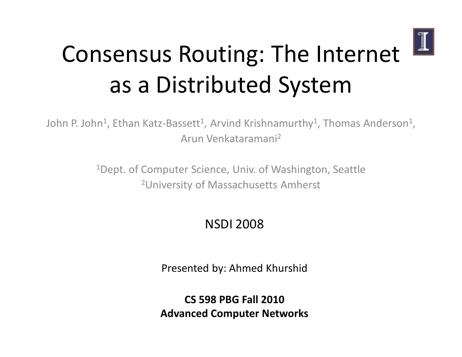

# Consensus Routing: The Internet as a Distributed System

John P. John $^1$ , Ethan Katz-Bassett $^1$ , Arvind Krishnamurthy $^1$ , Thomas Anderson $^1$ , Arun Venkataramani 2

> <sup>1</sup>Dept. of Computer Science, Univ. of Washington, Seattle 2University of Massachusetts Amherst

#### NSDI 2008

Presented by: Ahmed Khurshid

CS 598 PBG Fall 2010 Advanced Computer Networks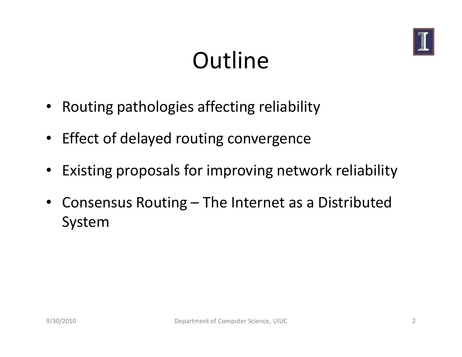

# **Outline**

- Routing pathologies affecting reliability
- Effect of delayed routing convergence
- $\bullet$ Existing proposals for improving network reliability
- $\bullet$  Consensus Routing – The Internet as a Distributed System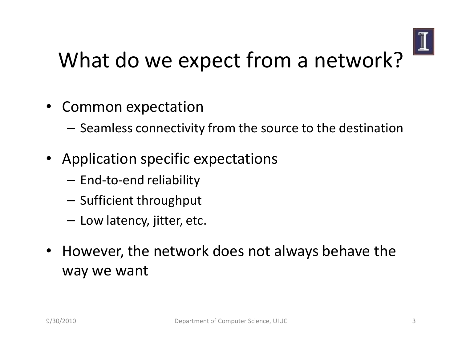

### What do we expect from a network?

- $\bullet$  Common expectation
	- – $-$  Seamless connectivity from the source to the destination
- Application specific expectations
	- – $-$  End-to-end reliability
	- – $-$  Sufficient throughput
	- – $-$  Low latency, jitter, etc.
- $\bullet$  However, the network does not always behave the way we want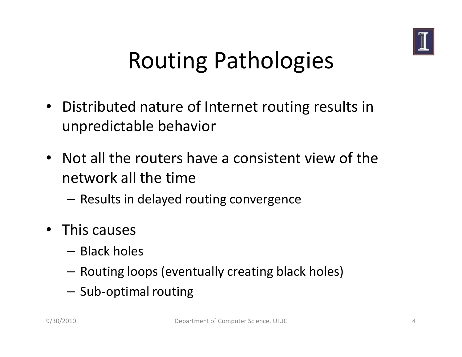

# Routing Pathologies

- Distributed nature of Internet routing results in unpredictable behavior
- Not all the routers have a consistent view of the network all the time
	- – $-$  Results in delayed routing convergence
- This causes
	- – $-$  Black holes
	- – $-$  Routing loops (eventually creating black holes)
	- – $-$  Sub-optimal routing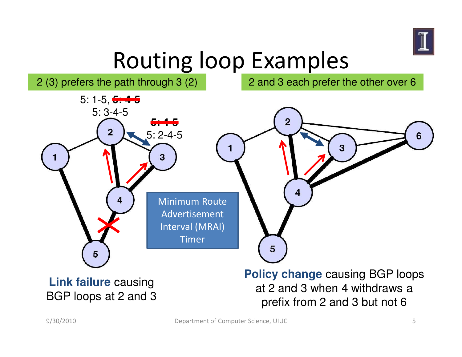

## Routing loop Examples

2 (3) prefers the path through 3 (2)

2 and 3 each prefer the other over 6

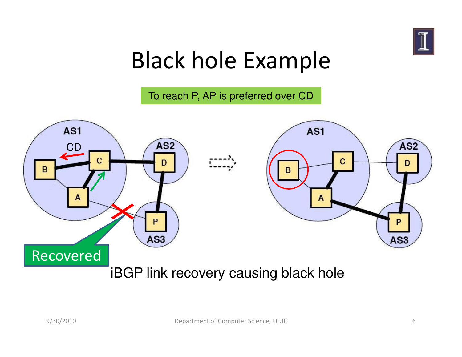

### Black hole Example

To reach P, AP is preferred over CD

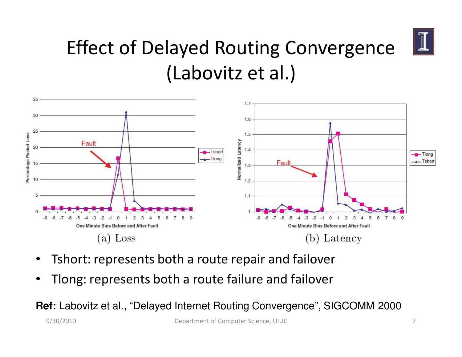

#### Effect of Delayed Routing Convergence (Labovitz et al.)



- •Tshort: represents both a route repair and failover
- •Tlong: represents both a route failure and failover

**Ref:** Labovitz et al., "Delayed Internet Routing Convergence", SIGCOMM 2000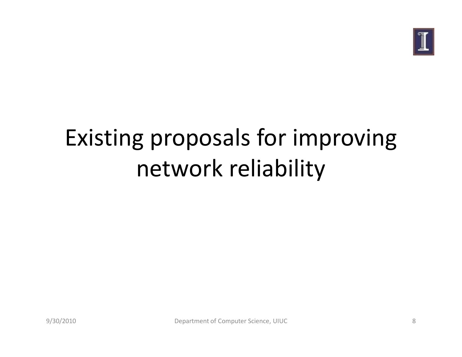

# Existing proposals for improving network reliability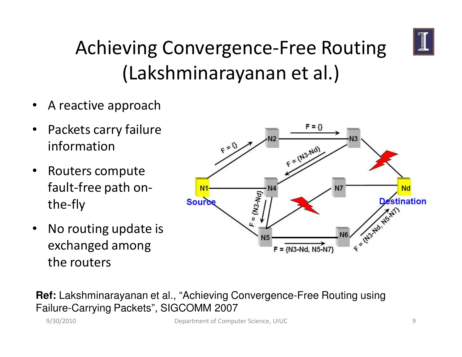

#### Achieving Convergence-Free Routing(Lakshminarayanan et al.)

- •A reactive approach
- $\bullet$  Packets carry failure information
- $\bullet$  Routers compute fault-free path onthe-fly
- $\bullet$  No routing update is exchanged among the routers



**Ref:** Lakshminarayanan et al., "Achieving Convergence-Free Routing usingFailure-Carrying Packets", SIGCOMM 2007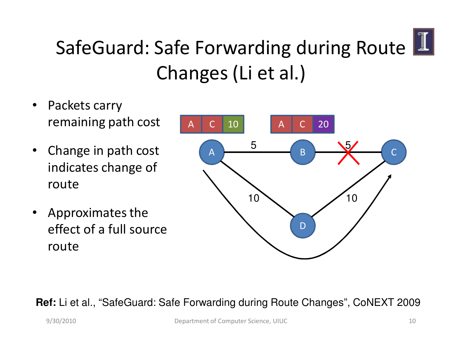

#### SafeGuard: Safe Forwarding during Route Changes (Li et al.)

- $\bullet$  Packets carry remaining path cost
- $\bullet$  Change in path cost indicates change of route
- $\bullet$  Approximates the effect of a full source route



#### **Ref:** Li et al., "SafeGuard: Safe Forwarding during Route Changes", CoNEXT 2009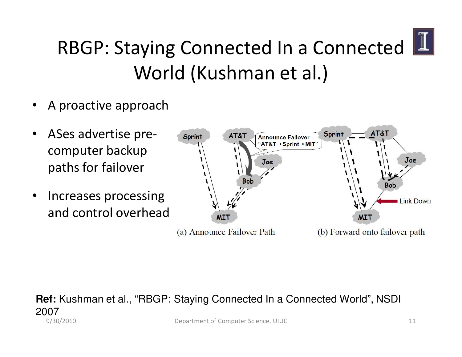

#### RBGP: Staying Connected In a Connected World (Kushman et al.)

- •A proactive approach
- • ASes advertise precomputer backup paths for failover
- • Increases processing and control overhead



#### $\sim$  11 **Ref:** Kushman et al., "RBGP: Staying Connected In a Connected World", NSDI 2007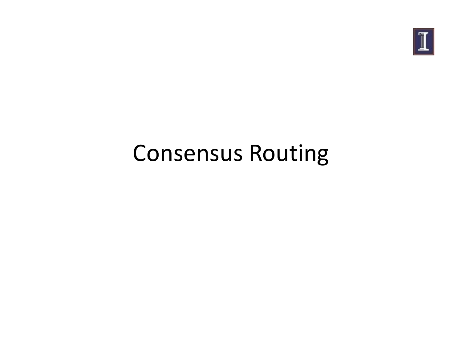

## Consensus Routing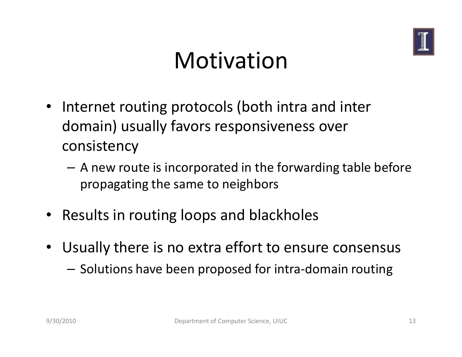

#### Motivation

- Internet routing protocols (both intra and inter domain) usually favors responsiveness over consistency
	- – A new route is incorporated in the forwarding table before propagating the same to neighbors
- Results in routing loops and blackholes
- Usually there is no extra effort to ensure consensus
	- – $-$  Solutions have been proposed for intra-domain routing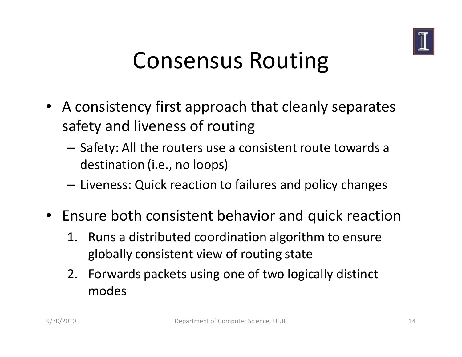

### Consensus Routing

- A consistency first approach that cleanly separatessafety and liveness of routing
	- – $-$  Safety: All the routers use a consistent route towards a destination (i.e., no loops)
	- – $-$  Liveness: Quick reaction to failures and policy changes
- Ensure both consistent behavior and quick reaction
	- 1. Runs a distributed coordination algorithm to ensure globally consistent view of routing state
	- 2. Forwards packets using one of two logically distinct modes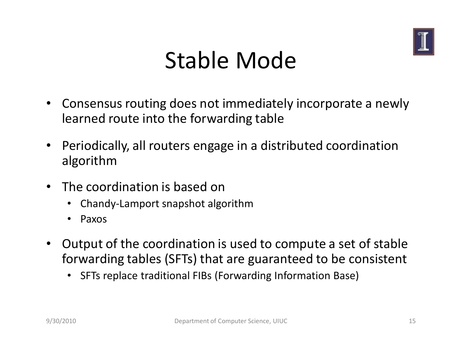

### Stable Mode

- $\bullet$  Consensus routing does not immediately incorporate a newly learned route into the forwarding table
- $\bullet$  Periodically, all routers engage in a distributed coordination algorithm
- The coordination is based on
	- Chandy-Lamport snapshot algorithm
	- •Paxos
- $\bullet$  Output of the coordination is used to compute a set of stable forwarding tables (SFTs) that are guaranteed to be consistent
	- •SFTs replace traditional FIBs (Forwarding Information Base)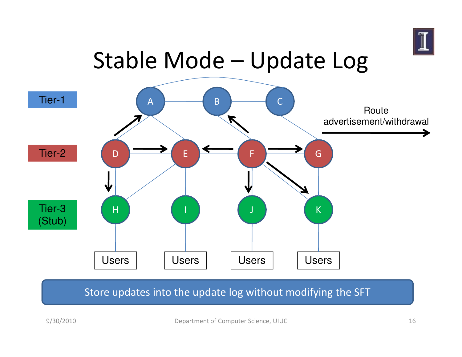

### Stable Mode – Update Log



#### Store updates into the update log without modifying the SFT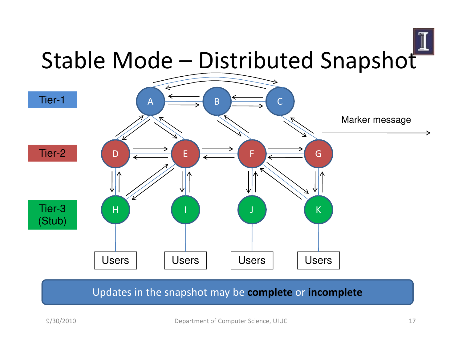

#### Updates in the snapshot may be **complete** or **incomplete**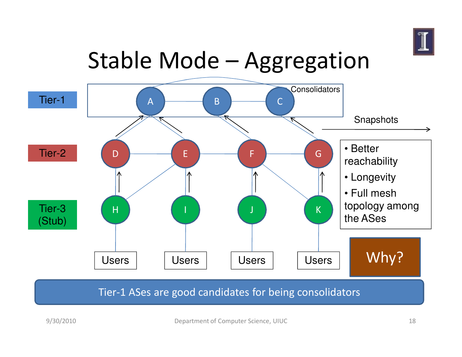

## Stable Mode – Aggregation



#### Tier-1 ASes are good candidates for being consolidators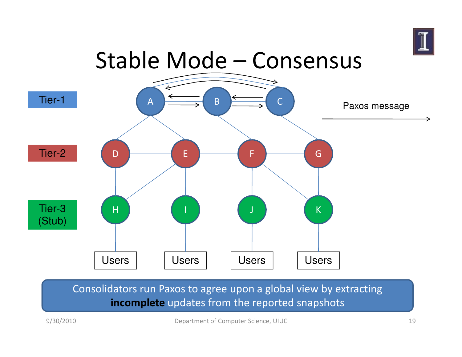

### Stable Mode – Consensus



#### Consolidators run Paxos to agree upon a global view by extracting incomplete updates from the reported snapshots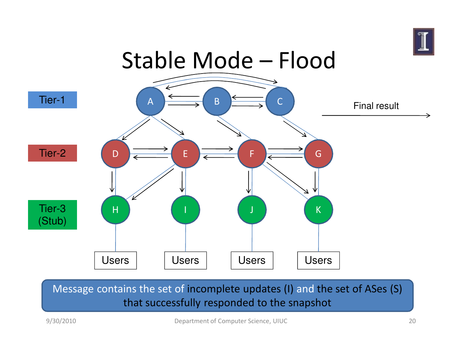



Message contains the set of incomplete updates (I) and the set of ASes (S) that successfully responded to the snapshot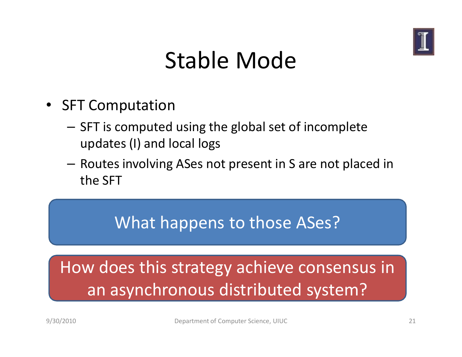

### Stable Mode

- $\bullet$  SFT Computation
	- – SFT is computed using the global set of incomplete updates (I) and local logs
	- – Routes involving ASes not present in S are not placed in the SFT

#### What happens to those ASes?

#### How does this strategy achieve consensus in an asynchronous distributed system?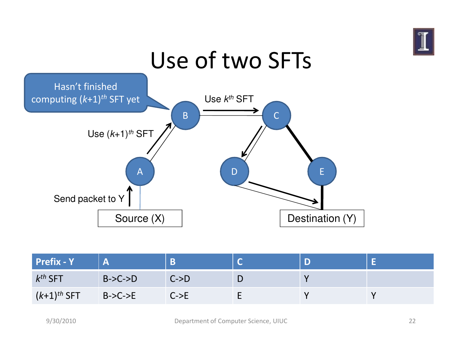

#### Use of two SFTsAB $\overline{B}$   $\overline{C}$ DD E Source (X) Destination (Y) Use  $(k+1)$ <sup>th</sup> SFT Hasn't finished computing (k+1)<sup>th</sup> SFT yet Use  $k^{th}$  SFT Send packet to Y

| <b>Prefix - Y</b>         |           | B                |  |  |
|---------------------------|-----------|------------------|--|--|
| $k^{th}$ SFT              | $B->C->D$ | $C->D$           |  |  |
| $(k+1)$ <sup>th</sup> SFT | $B->C->E$ | $C\rightarrow E$ |  |  |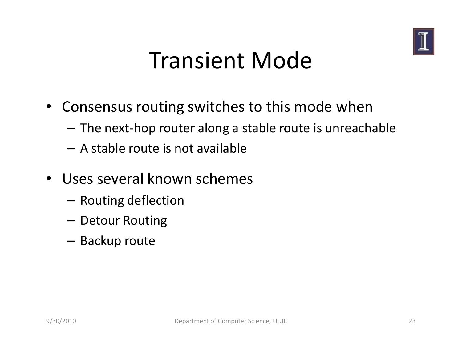

### Transient Mode

- Consensus routing switches to this mode when
	- – $-$  The next-hop router along a stable route is unreachable
	- – $-$  A stable route is not available
- Uses several known schemes
	- – $-$  Routing deflection
	- – $-$  Detour Routing
	- – $-$  Backup route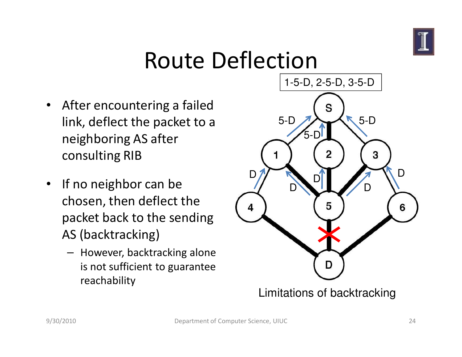

### Route Deflection

- After encountering a failed link, deflect the packet to a neighboring AS after consulting RIB
- $\bullet$  If no neighbor can be chosen, then deflect the packet back to the sending AS (backtracking)
	- However, backtracking alone is not sufficient to guarantee reachability



Limitations of backtracking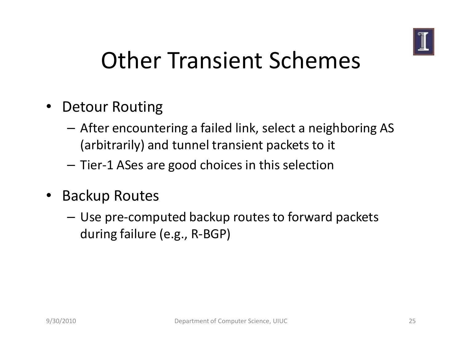

### Other Transient Schemes

- Detour Routing
	- – After encountering a failed link, select a neighboring AS (arbitrarily) and tunnel transient packets to it
	- – $-$  Tier-1 ASes are good choices in this selection
- • Backup Routes
	- – Use pre-computed backup routes to forward packets during failure (e.g., R-BGP)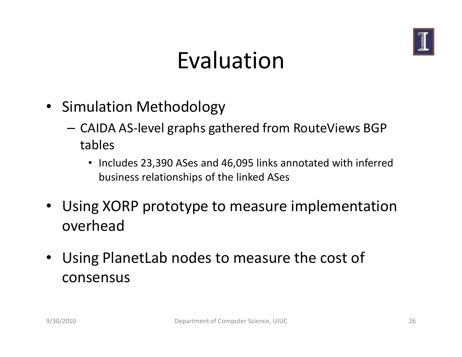

### Evaluation

- Simulation Methodology
	- – CAIDA AS-level graphs gathered from RouteViews BGP tables
		- Includes 23,390 ASes and 46,095 links annotated with inferred business relationships of the linked ASes
- Using XORP prototype to measure implementation overhead
- $\bullet$  Using PlanetLab nodes to measure the cost of consensus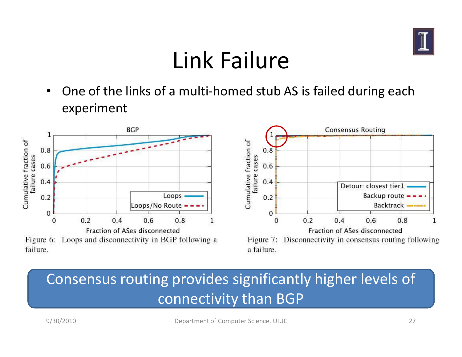

## Link Failure

• One of the links of a multi-homed stub AS is failed during each experiment





#### Consensus routing provides significantly higher levels of connectivity than BGP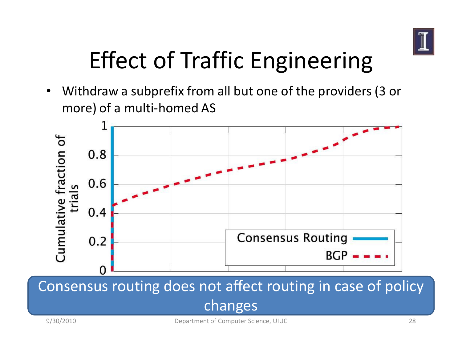

# Effect of Traffic Engineering

• Withdraw a subprefix from all but one of the providers (3 or more) of a multi-homed AS



Consensus routing does not affect routing in case of policy changes

9/30/2010 Department of Computer Science, UIUC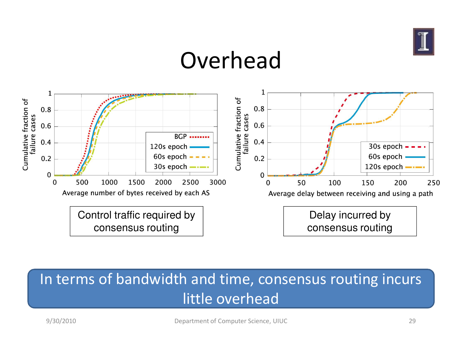

#### Overhead



#### In terms of bandwidth and time, consensus routing incurs little overhead